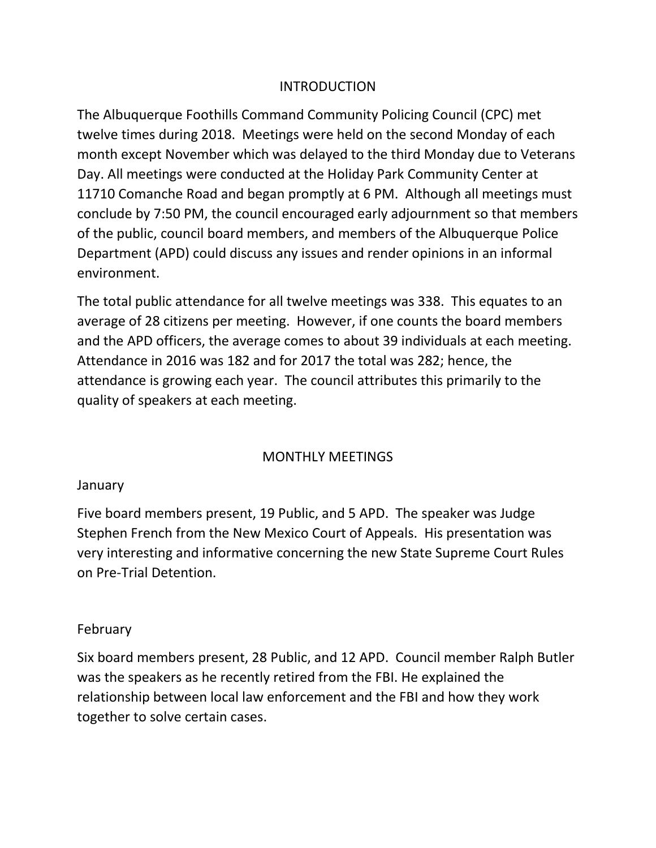# INTRODUCTION

The Albuquerque Foothills Command Community Policing Council (CPC) met twelve times during 2018. Meetings were held on the second Monday of each month except November which was delayed to the third Monday due to Veterans Day. All meetings were conducted at the Holiday Park Community Center at 11710 Comanche Road and began promptly at 6 PM. Although all meetings must conclude by 7:50 PM, the council encouraged early adjournment so that members of the public, council board members, and members of the Albuquerque Police Department (APD) could discuss any issues and render opinions in an informal environment.

The total public attendance for all twelve meetings was 338. This equates to an average of 28 citizens per meeting. However, if one counts the board members and the APD officers, the average comes to about 39 individuals at each meeting. Attendance in 2016 was 182 and for 2017 the total was 282; hence, the attendance is growing each year. The council attributes this primarily to the quality of speakers at each meeting.

# MONTHLY MEETINGS

#### January

Five board members present, 19 Public, and 5 APD. The speaker was Judge Stephen French from the New Mexico Court of Appeals. His presentation was very interesting and informative concerning the new State Supreme Court Rules on Pre-Trial Detention.

#### February

Six board members present, 28 Public, and 12 APD. Council member Ralph Butler was the speakers as he recently retired from the FBI. He explained the relationship between local law enforcement and the FBI and how they work together to solve certain cases.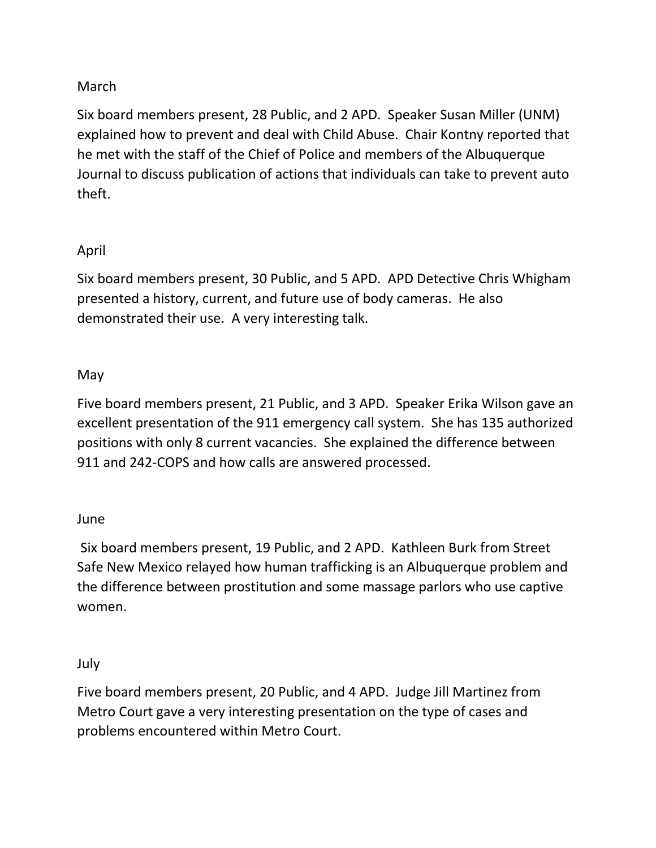# March

Six board members present, 28 Public, and 2 APD. Speaker Susan Miller (UNM) explained how to prevent and deal with Child Abuse. Chair Kontny reported that he met with the staff of the Chief of Police and members of the Albuquerque Journal to discuss publication of actions that individuals can take to prevent auto theft.

# April

Six board members present, 30 Public, and 5 APD. APD Detective Chris Whigham presented a history, current, and future use of body cameras. He also demonstrated their use. A very interesting talk.

# May

Five board members present, 21 Public, and 3 APD. Speaker Erika Wilson gave an excellent presentation of the 911 emergency call system. She has 135 authorized positions with only 8 current vacancies. She explained the difference between 911 and 242-COPS and how calls are answered processed.

# June

Six board members present, 19 Public, and 2 APD. Kathleen Burk from Street Safe New Mexico relayed how human trafficking is an Albuquerque problem and the difference between prostitution and some massage parlors who use captive women.

#### July

Five board members present, 20 Public, and 4 APD. Judge Jill Martinez from Metro Court gave a very interesting presentation on the type of cases and problems encountered within Metro Court.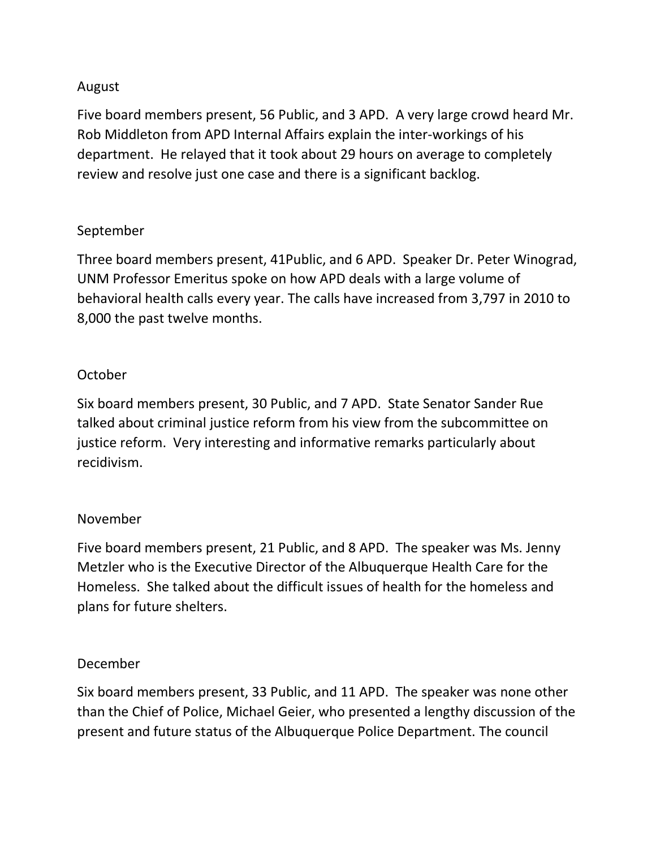# August

Five board members present, 56 Public, and 3 APD. A very large crowd heard Mr. Rob Middleton from APD Internal Affairs explain the inter-workings of his department. He relayed that it took about 29 hours on average to completely review and resolve just one case and there is a significant backlog.

# September

Three board members present, 41Public, and 6 APD. Speaker Dr. Peter Winograd, UNM Professor Emeritus spoke on how APD deals with a large volume of behavioral health calls every year. The calls have increased from 3,797 in 2010 to 8,000 the past twelve months.

# October

Six board members present, 30 Public, and 7 APD. State Senator Sander Rue talked about criminal justice reform from his view from the subcommittee on justice reform. Very interesting and informative remarks particularly about recidivism.

# November

Five board members present, 21 Public, and 8 APD. The speaker was Ms. Jenny Metzler who is the Executive Director of the Albuquerque Health Care for the Homeless. She talked about the difficult issues of health for the homeless and plans for future shelters.

# December

Six board members present, 33 Public, and 11 APD. The speaker was none other than the Chief of Police, Michael Geier, who presented a lengthy discussion of the present and future status of the Albuquerque Police Department. The council